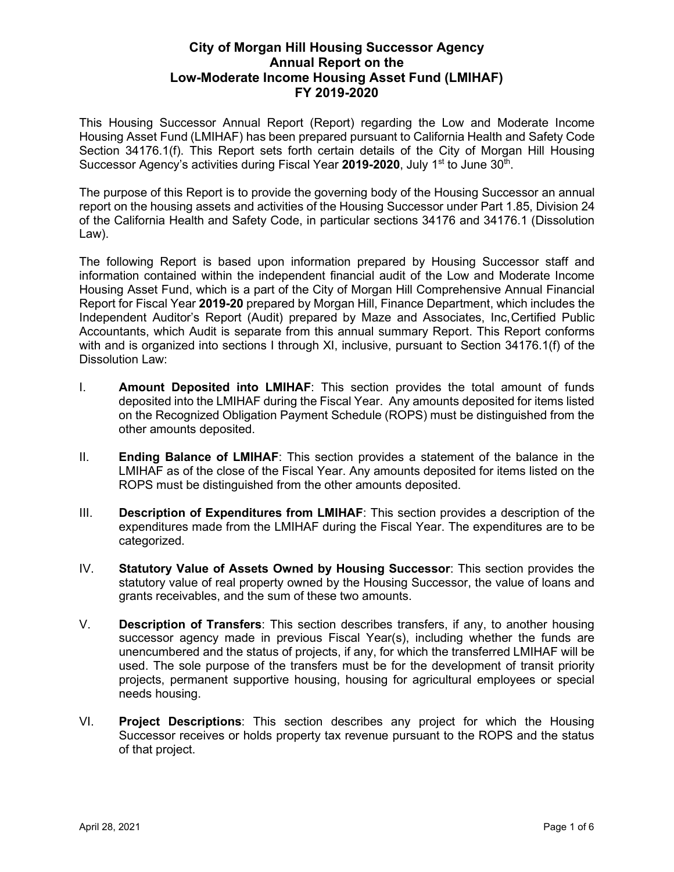# **City of Morgan Hill Housing Successor Agency Annual Report on the Low-Moderate Income Housing Asset Fund (LMIHAF) FY 2019-2020**

This Housing Successor Annual Report (Report) regarding the Low and Moderate Income Housing Asset Fund (LMIHAF) has been prepared pursuant to California Health and Safety Code Section 34176.1(f). This Report sets forth certain details of the City of Morgan Hill Housing Successor Agency's activities during Fiscal Year 2019-2020, July 1<sup>st</sup> to June 30<sup>th</sup>.

The purpose of this Report is to provide the governing body of the Housing Successor an annual report on the housing assets and activities of the Housing Successor under Part 1.85, Division 24 of the California Health and Safety Code, in particular sections 34176 and 34176.1 (Dissolution Law).

The following Report is based upon information prepared by Housing Successor staff and information contained within the independent financial audit of the Low and Moderate Income Housing Asset Fund, which is a part of the City of Morgan Hill Comprehensive Annual Financial Report for Fiscal Year **2019-20** prepared by Morgan Hill, Finance Department, which includes the Independent Auditor's Report (Audit) prepared by Maze and Associates, Inc,Certified Public Accountants, which Audit is separate from this annual summary Report. This Report conforms with and is organized into sections I through XI, inclusive, pursuant to Section 34176.1(f) of the Dissolution Law:

- I. **Amount Deposited into LMIHAF**: This section provides the total amount of funds deposited into the LMIHAF during the Fiscal Year. Any amounts deposited for items listed on the Recognized Obligation Payment Schedule (ROPS) must be distinguished from the other amounts deposited.
- II. **Ending Balance of LMIHAF**: This section provides a statement of the balance in the LMIHAF as of the close of the Fiscal Year. Any amounts deposited for items listed on the ROPS must be distinguished from the other amounts deposited.
- III. **Description of Expenditures from LMIHAF**: This section provides a description of the expenditures made from the LMIHAF during the Fiscal Year. The expenditures are to be categorized.
- IV. **Statutory Value of Assets Owned by Housing Successor**: This section provides the statutory value of real property owned by the Housing Successor, the value of loans and grants receivables, and the sum of these two amounts.
- V. **Description of Transfers**: This section describes transfers, if any, to another housing successor agency made in previous Fiscal Year(s), including whether the funds are unencumbered and the status of projects, if any, for which the transferred LMIHAF will be used. The sole purpose of the transfers must be for the development of transit priority projects, permanent supportive housing, housing for agricultural employees or special needs housing.
- VI. **Project Descriptions**: This section describes any project for which the Housing Successor receives or holds property tax revenue pursuant to the ROPS and the status of that project.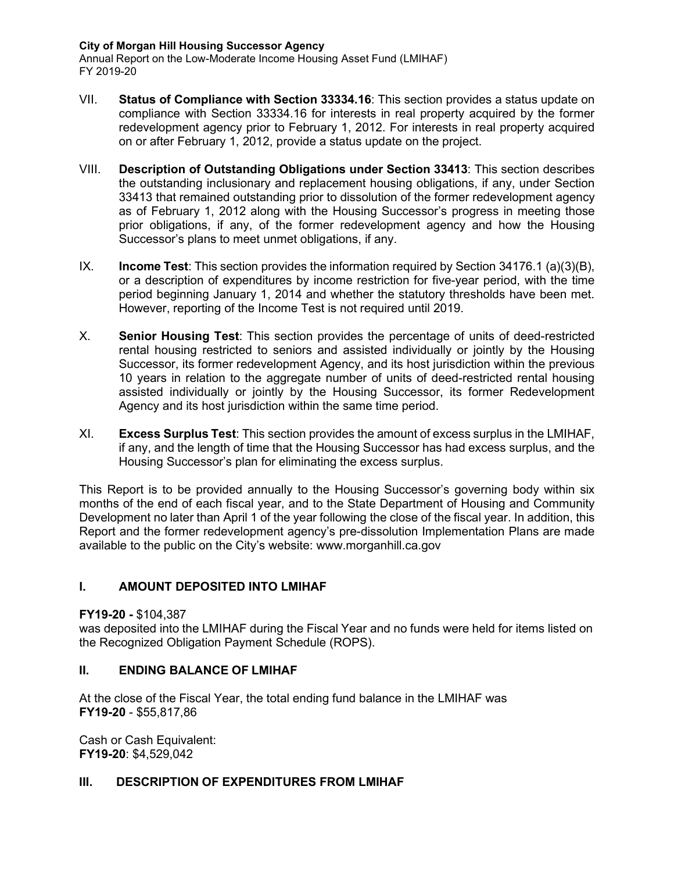#### **City of Morgan Hill Housing Successor Agency**

Annual Report on the Low-Moderate Income Housing Asset Fund (LMIHAF) FY 2019-20

- VII. **Status of Compliance with Section 33334.16**: This section provides a status update on compliance with Section 33334.16 for interests in real property acquired by the former redevelopment agency prior to February 1, 2012. For interests in real property acquired on or after February 1, 2012, provide a status update on the project.
- VIII. **Description of Outstanding Obligations under Section 33413**: This section describes the outstanding inclusionary and replacement housing obligations, if any, under Section 33413 that remained outstanding prior to dissolution of the former redevelopment agency as of February 1, 2012 along with the Housing Successor's progress in meeting those prior obligations, if any, of the former redevelopment agency and how the Housing Successor's plans to meet unmet obligations, if any.
- IX. **Income Test**: This section provides the information required by Section 34176.1 (a)(3)(B), or a description of expenditures by income restriction for five-year period, with the time period beginning January 1, 2014 and whether the statutory thresholds have been met. However, reporting of the Income Test is not required until 2019.
- X. **Senior Housing Test**: This section provides the percentage of units of deed-restricted rental housing restricted to seniors and assisted individually or jointly by the Housing Successor, its former redevelopment Agency, and its host jurisdiction within the previous 10 years in relation to the aggregate number of units of deed-restricted rental housing assisted individually or jointly by the Housing Successor, its former Redevelopment Agency and its host jurisdiction within the same time period.
- XI. **Excess Surplus Test**: This section provides the amount of excess surplus in the LMIHAF, if any, and the length of time that the Housing Successor has had excess surplus, and the Housing Successor's plan for eliminating the excess surplus.

This Report is to be provided annually to the Housing Successor's governing body within six months of the end of each fiscal year, and to the State Department of Housing and Community Development no later than April 1 of the year following the close of the fiscal year. In addition, this Report and the former redevelopment agency's pre-dissolution Implementation Plans are made available to the public on the City's website: [www.morganhill.ca.gov](http://www.morganhill.ca.gov/)

# **I. AMOUNT DEPOSITED INTO LMIHAF**

### **FY19-20 -** \$104,387

was deposited into the LMIHAF during the Fiscal Year and no funds were held for items listed on the Recognized Obligation Payment Schedule (ROPS).

### **II. ENDING BALANCE OF LMIHAF**

At the close of the Fiscal Year, the total ending fund balance in the LMIHAF was **FY19-20** - \$55,817,86

Cash or Cash Equivalent: **FY19-20**: \$4,529,042

### **III. DESCRIPTION OF EXPENDITURES FROM LMIHAF**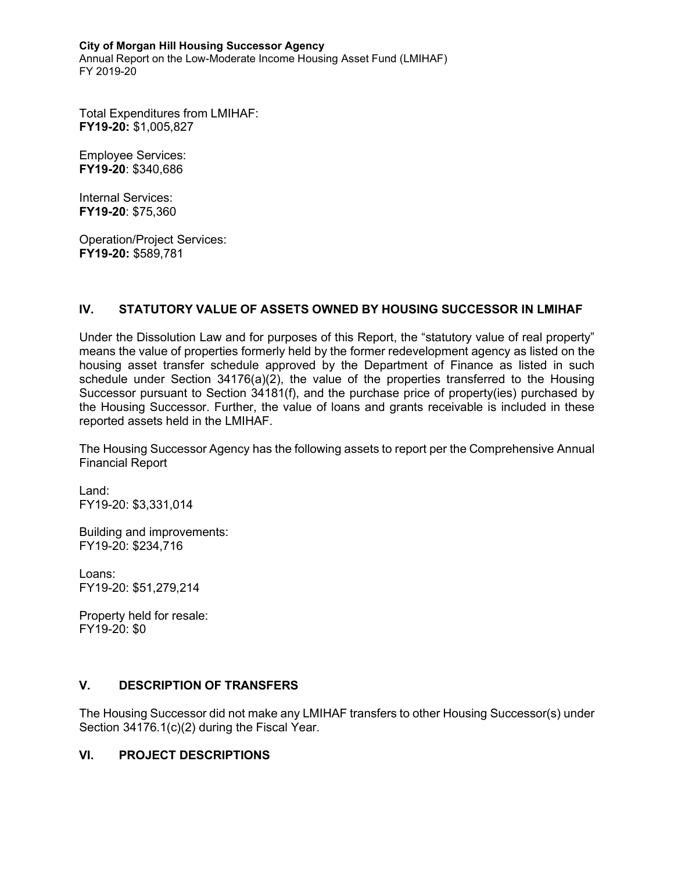#### **City of Morgan Hill Housing Successor Agency**

Annual Report on the Low-Moderate Income Housing Asset Fund (LMIHAF) FY 2019-20

Total Expenditures from LMIHAF: **FY19-20:** \$1,005,827

Employee Services: **FY19-20**: \$340,686

Internal Services: **FY19-20**: \$75,360

Operation/Project Services: **FY19-20:** \$589,781

### **IV. STATUTORY VALUE OF ASSETS OWNED BY HOUSING SUCCESSOR IN LMIHAF**

Under the Dissolution Law and for purposes of this Report, the "statutory value of real property" means the value of properties formerly held by the former redevelopment agency as listed on the housing asset transfer schedule approved by the Department of Finance as listed in such schedule under Section 34176(a)(2), the value of the properties transferred to the Housing Successor pursuant to Section 34181(f), and the purchase price of property(ies) purchased by the Housing Successor. Further, the value of loans and grants receivable is included in these reported assets held in the LMIHAF.

The Housing Successor Agency has the following assets to report per the Comprehensive Annual Financial Report

Land: FY19-20: \$3,331,014

Building and improvements: FY19-20: \$234,716

Loans: FY19-20: \$51,279,214

Property held for resale: FY19-20: \$0

# **V. DESCRIPTION OF TRANSFERS**

The Housing Successor did not make any LMIHAF transfers to other Housing Successor(s) under Section 34176.1(c)(2) during the Fiscal Year.

### **VI. PROJECT DESCRIPTIONS**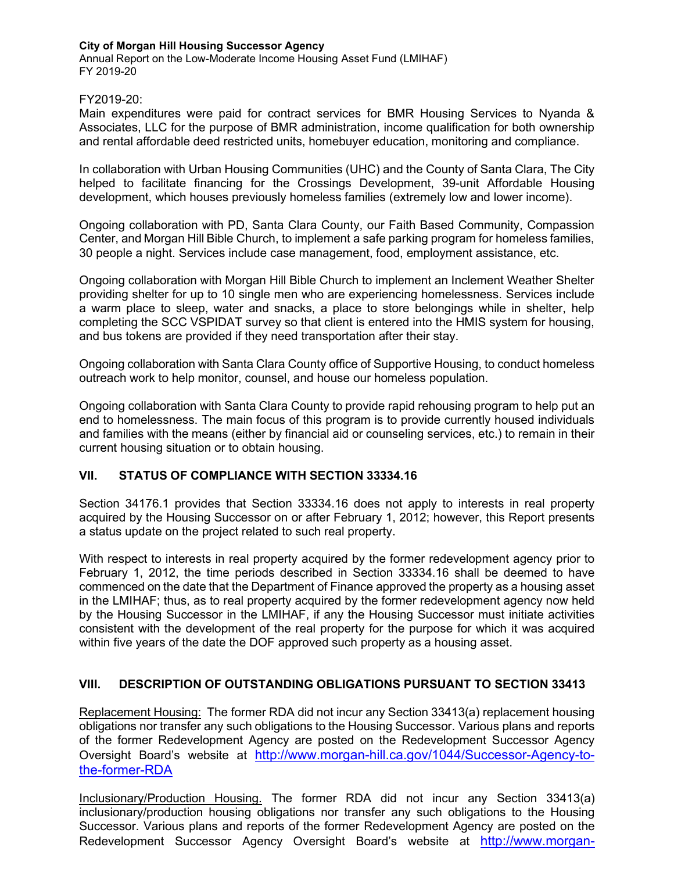#### **City of Morgan Hill Housing Successor Agency**

Annual Report on the Low-Moderate Income Housing Asset Fund (LMIHAF) FY 2019-20

#### FY2019-20:

Main expenditures were paid for contract services for BMR Housing Services to Nyanda & Associates, LLC for the purpose of BMR administration, income qualification for both ownership and rental affordable deed restricted units, homebuyer education, monitoring and compliance.

In collaboration with Urban Housing Communities (UHC) and the County of Santa Clara, The City helped to facilitate financing for the Crossings Development, 39-unit Affordable Housing development, which houses previously homeless families (extremely low and lower income).

Ongoing collaboration with PD, Santa Clara County, our Faith Based Community, Compassion Center, and Morgan Hill Bible Church, to implement a safe parking program for homeless families, 30 people a night. Services include case management, food, employment assistance, etc.

Ongoing collaboration with Morgan Hill Bible Church to implement an Inclement Weather Shelter providing shelter for up to 10 single men who are experiencing homelessness. Services include a warm place to sleep, water and snacks, a place to store belongings while in shelter, help completing the SCC VSPIDAT survey so that client is entered into the HMIS system for housing, and bus tokens are provided if they need transportation after their stay.

Ongoing collaboration with Santa Clara County office of Supportive Housing, to conduct homeless outreach work to help monitor, counsel, and house our homeless population.

Ongoing collaboration with Santa Clara County to provide rapid rehousing program to help put an end to homelessness. The main focus of this program is to provide currently housed individuals and families with the means (either by financial aid or counseling services, etc.) to remain in their current housing situation or to obtain housing.

### **VII. STATUS OF COMPLIANCE WITH SECTION 33334.16**

Section 34176.1 provides that Section 33334.16 does not apply to interests in real property acquired by the Housing Successor on or after February 1, 2012; however, this Report presents a status update on the project related to such real property.

With respect to interests in real property acquired by the former redevelopment agency prior to February 1, 2012, the time periods described in Section 33334.16 shall be deemed to have commenced on the date that the Department of Finance approved the property as a housing asset in the LMIHAF; thus, as to real property acquired by the former redevelopment agency now held by the Housing Successor in the LMIHAF, if any the Housing Successor must initiate activities consistent with the development of the real property for the purpose for which it was acquired within five years of the date the DOF approved such property as a housing asset.

# **VIII. DESCRIPTION OF OUTSTANDING OBLIGATIONS PURSUANT TO SECTION 33413**

Replacement Housing: The former RDA did not incur any Section 33413(a) replacement housing obligations nor transfer any such obligations to the Housing Successor. Various plans and reports of the former Redevelopment Agency are posted on the Redevelopment Successor Agency Oversight Board's website at [http://www.morgan-hill.ca.gov/1044/Successor-Agency-to](http://www.morgan-hill.ca.gov/1044/Successor-Agency-to-the-former-RDA)[the-former-RDA](http://www.morgan-hill.ca.gov/1044/Successor-Agency-to-the-former-RDA)

Inclusionary/Production Housing. The former RDA did not incur any Section 33413(a) inclusionary/production housing obligations nor transfer any such obligations to the Housing Successor. Various plans and reports of the former Redevelopment Agency are posted on the Redevelopment Successor Agency Oversight Board's website at [http://www.morgan-](http://www.morgan-hill.ca.gov/1044/Successor-Agency-to-the-former-RDA)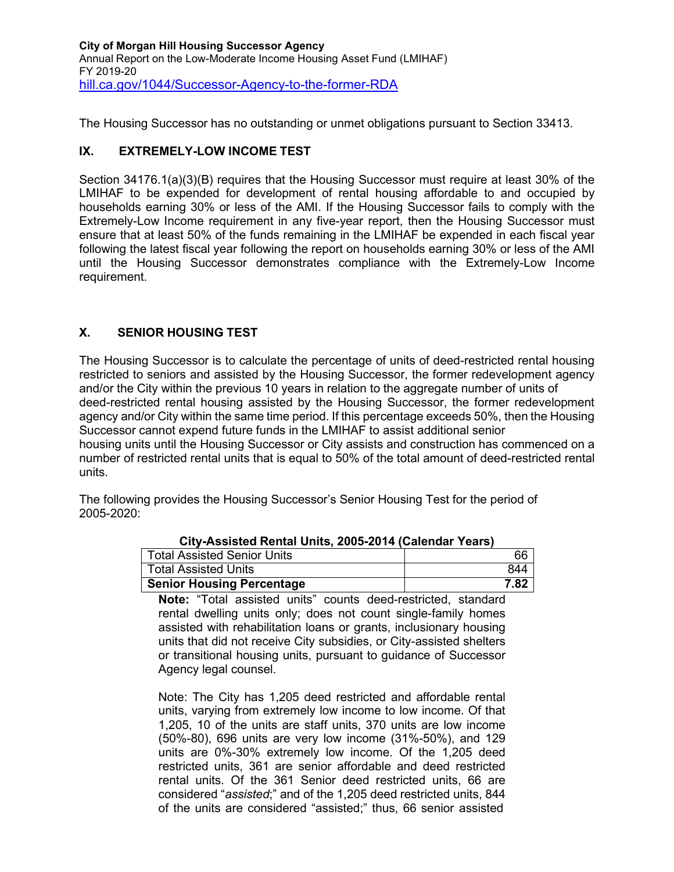**City of Morgan Hill Housing Successor Agency** Annual Report on the Low-Moderate Income Housing Asset Fund (LMIHAF) FY 2019-20 [hill.ca.gov/1044/Successor-Agency-to-the-former-RDA](http://www.morgan-hill.ca.gov/1044/Successor-Agency-to-the-former-RDA)

The Housing Successor has no outstanding or unmet obligations pursuant to Section 33413.

### **IX. EXTREMELY-LOW INCOME TEST**

Section 34176.1(a)(3)(B) requires that the Housing Successor must require at least 30% of the LMIHAF to be expended for development of rental housing affordable to and occupied by households earning 30% or less of the AMI. If the Housing Successor fails to comply with the Extremely-Low Income requirement in any five-year report, then the Housing Successor must ensure that at least 50% of the funds remaining in the LMIHAF be expended in each fiscal year following the latest fiscal year following the report on households earning 30% or less of the AMI until the Housing Successor demonstrates compliance with the Extremely-Low Income requirement.

### **X. SENIOR HOUSING TEST**

The Housing Successor is to calculate the percentage of units of deed-restricted rental housing restricted to seniors and assisted by the Housing Successor, the former redevelopment agency and/or the City within the previous 10 years in relation to the aggregate number of units of deed-restricted rental housing assisted by the Housing Successor, the former redevelopment agency and/or City within the same time period. If this percentage exceeds 50%, then the Housing Successor cannot expend future funds in the LMIHAF to assist additional senior

housing units until the Housing Successor or City assists and construction has commenced on a number of restricted rental units that is equal to 50% of the total amount of deed-restricted rental units.

The following provides the Housing Successor's Senior Housing Test for the period of 2005-2020:

| $\frac{1}{2}$                    |      |
|----------------------------------|------|
| Total Assisted Senior Units      | 66   |
| Total Assisted Units             | 844  |
| <b>Senior Housing Percentage</b> | 7.82 |

**City-Assisted Rental Units, 2005-2014 (Calendar Years)**

**Note:** "Total assisted units" counts deed-restricted, standard rental dwelling units only; does not count single-family homes assisted with rehabilitation loans or grants, inclusionary housing units that did not receive City subsidies, or City-assisted shelters or transitional housing units, pursuant to guidance of Successor Agency legal counsel.

Note: The City has 1,205 deed restricted and affordable rental units, varying from extremely low income to low income. Of that 1,205, 10 of the units are staff units, 370 units are low income (50%-80), 696 units are very low income (31%-50%), and 129 units are 0%-30% extremely low income. Of the 1,205 deed restricted units, 361 are senior affordable and deed restricted rental units. Of the 361 Senior deed restricted units, 66 are considered "*assisted*;" and of the 1,205 deed restricted units, 844 of the units are considered "assisted;" thus, 66 senior assisted